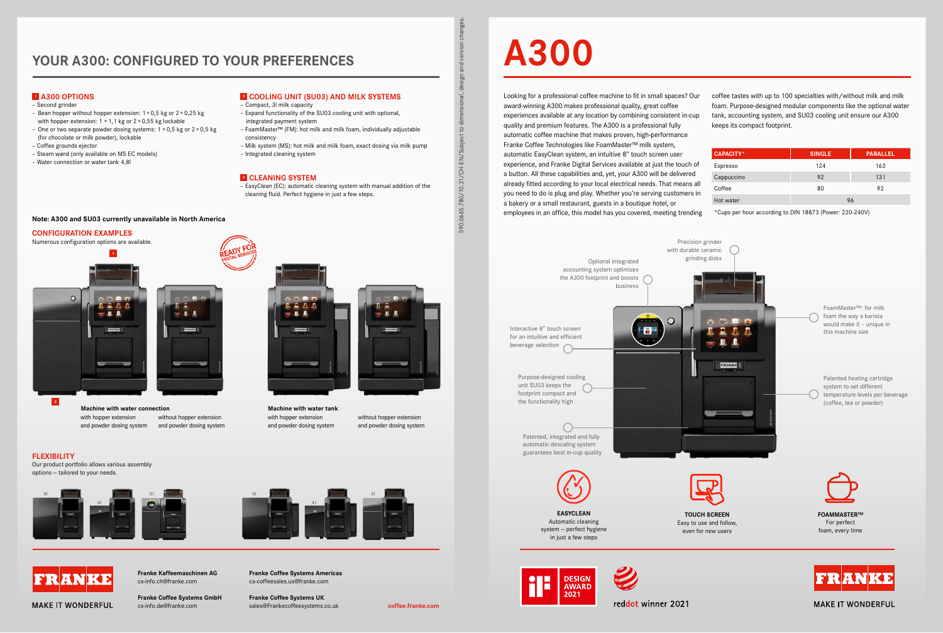# **YOUR A300: CONFIGURED TO YOUR PREFERENCES**



**Franke Kaffeemaschinen AG** cs-info.ch@franke.com

# **A300**

Looking for a professional coffee machine to fit in small spaces? Our award-winning A300 makes professional quality, great coffee experiences available at any location by combining consistent in-cup quality and premium features. The A300 is a professional fully automatic coffee machine that makes proven, high-performance Franke Coffee Technologies like FoamMaster™ milk system, automatic EasyClean system, an intuitive 8" touch screen user experience, and Franke Digital Services available at just the touch of a button. All these capabilities and, yet, your A300 will be delivered already fitted according to your local electrical needs. That means all you need to do is plug and play. Whether you're serving customers in a bakery or a small restaurant, guests in a boutique hotel, or employees in an office, this model has you covered, meeting trending

coffee tastes with up to 100 specialties with/without milk and milk foam. Purpose-designed modular components like the optional water tank, accounting system, and SU03 cooling unit ensure our A300 keeps its compact footprint.

| <b>CAPACITY*</b> | <b>SINGLE</b> | <b>PARALLEL</b> |  |
|------------------|---------------|-----------------|--|
| Espresso         | 124           | 163             |  |
| Cappuccino       | 92            | 131             |  |
| Coffee           | 80            | 92              |  |
| Hot water        | 96            |                 |  |

\*Cups per hour according to DIN 18873 (Power: 220-240V)

**MAKE IT WONDERFUL** 

590.0665.780/10.21/CH-EN/Subject to dimensional, design and version changes.

590.0665.780/10.21/CH-EN/Subject to d

흓  $\overline{5}$ 

읎 des

**FLEXIBILITY** 

Our product portfolio allows various assembly

options — tailored to your needs.



with honner extension and powder dosing system without hopper extension and powder dosing system **Machine with water connection Machine with water tank**



## **1 A300 OPTIONS**

**Franke Coffee Systems GmbH** cs-info.de@franke.com **coffee.franke.com** sales@Frankecoffeesystems.co.uk

- Second grinder
- Bean hopper without hopper extension: 1×0,5 kg or 2×0,25 kg with hopper extension:  $1 \times 1$ , 1 kg or  $2 \times 0.55$  kg lockable
- One or two separate powder dosing systems: 1 ×0,5 kg or 2×0,5 kg (for chocolate or milk powder), lockable
- Coffee grounds ejector
- Steam wand (only available on MS EC models)
- Water connection or water tank 4,8l

# **2 COOLING UNIT (SU03) AND MILK SYSTEMS**





reddot winner 2021

- Compact, 3l milk capacity
- Expand functionality of the SU03 cooling unit with optional, integrated payment system
- FoamMaster™ (FM): hot milk and milk foam, individually adjustable consistency
- Milk system (MS): hot milk and milk foam, exact dosing via milk pump
- Integrated cleaning system

## **2 CLEANING SYSTEM**

– EasyClean (EC): automatic cleaning system with manual addition of the cleaning fluid. Perfect hygiene in just a few steps.

**1**

**2**

with hopper extension and powder dosing system





**MAKE IT WONDERFUL** 

without hopper extension and powder dosing system

## **CONFIGURATION EXAMPLES**

Numerous configuration options are available.



**Franke Coffee Systems Americas** cs-coffeesales.us@franke.com

**Franke Coffee Systems UK**